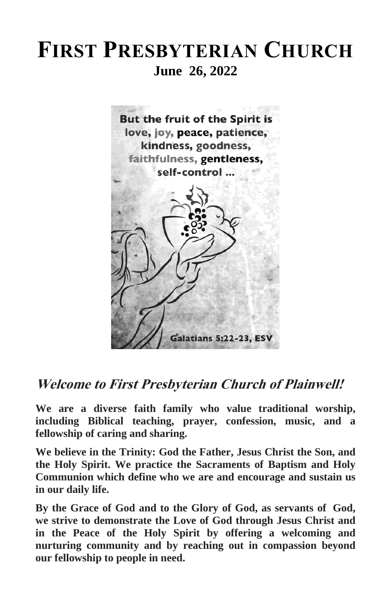# **FIRST PRESBYTERIAN CHURCH June 26, 2022**



**Welcome to First Presbyterian Church of Plainwell!**

**We are a diverse faith family who value traditional worship, including Biblical teaching, prayer, confession, music, and a fellowship of caring and sharing.**

**We believe in the Trinity: God the Father, Jesus Christ the Son, and the Holy Spirit. We practice the Sacraments of Baptism and Holy Communion which define who we are and encourage and sustain us in our daily life.**

**By the Grace of God and to the Glory of God, as servants of God, we strive to demonstrate the Love of God through Jesus Christ and in the Peace of the Holy Spirit by offering a welcoming and nurturing community and by reaching out in compassion beyond our fellowship to people in need.**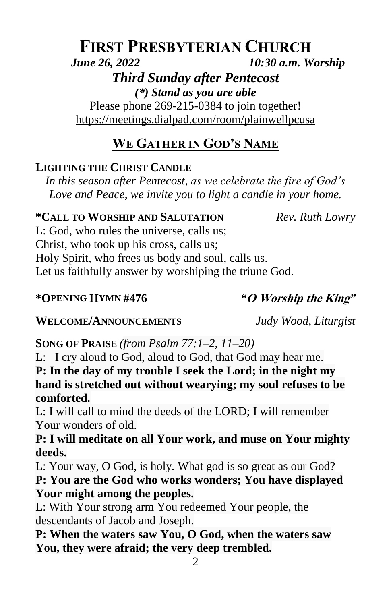# **FIRST PRESBYTERIAN CHURCH** *June 26, 2022 10:30 a.m. Worship*

# *Third Sunday after Pentecost*

*(\*) Stand as you are able* Please phone 269-215-0384 to join together! <https://meetings.dialpad.com/room/plainwellpcusa>

# **WE GATHER IN GOD'S NAME**

# **LIGHTING THE CHRIST CANDLE**

*In this season after Pentecost, as we celebrate the fire of God's Love and Peace, we invite you to light a candle in your home.*

### **\*CALL TO WORSHIP AND SALUTATION** *Rev. Ruth Lowry*

L: God, who rules the universe, calls us; Christ, who took up his cross, calls us; Holy Spirit, who frees us body and soul, calls us. Let us faithfully answer by worshiping the triune God.

#### **\*OPENING HYMN #476** *"***O Worship the King***"*

### **WELCOME/ANNOUNCEMENTS** *Judy Wood, Liturgist*

**SONG OF PRAISE** (from *Psalm 77:1–2, 11–20)* 

L: I cry aloud to God, aloud to God, that God may hear me. **P: In the day of my trouble I seek the Lord; in the night my hand is stretched out without wearying; my soul refuses to be comforted.**

L: I will call to mind the deeds of the LORD; I will remember Your wonders of old.

**P: I will meditate on all Your work, and muse on Your mighty deeds.**

L: Your way, O God, is holy. What god is so great as our God? **P: You are the God who works wonders; You have displayed Your might among the peoples.**

L: With Your strong arm You redeemed Your people, the descendants of Jacob and Joseph.

**P: When the waters saw You, O God, when the waters saw You, they were afraid; the very deep trembled.**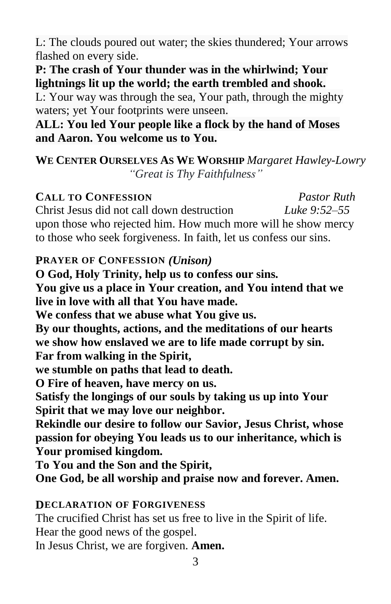L: The clouds poured out water; the skies thundered; Your arrows flashed on every side.

**P: The crash of Your thunder was in the whirlwind; Your lightnings lit up the world; the earth trembled and shook.**

L: Your way was through the sea, Your path, through the mighty waters; yet Your footprints were unseen.

**ALL: You led Your people like a flock by the hand of Moses and Aaron. You welcome us to You.**

### **WE CENTER OURSELVES AS WE WORSHIP** *Margaret Hawley-Lowry "Great is Thy Faithfulness"*

### **CALL TO CONFESSION** *Pastor Ruth* Christ Jesus did not call down destruction *Luke 9:52–55* upon those who rejected him. How much more will he show mercy to those who seek forgiveness. In faith, let us confess our sins.

### **PRAYER OF CONFESSION** *(Unison)*

**O God, Holy Trinity, help us to confess our sins. You give us a place in Your creation, and You intend that we live in love with all that You have made. We confess that we abuse what You give us. By our thoughts, actions, and the meditations of our hearts we show how enslaved we are to life made corrupt by sin. Far from walking in the Spirit, we stumble on paths that lead to death. O Fire of heaven, have mercy on us. Satisfy the longings of our souls by taking us up into Your Spirit that we may love our neighbor. Rekindle our desire to follow our Savior, Jesus Christ, whose passion for obeying You leads us to our inheritance, which is Your promised kingdom. To You and the Son and the Spirit,**

# **One God, be all worship and praise now and forever. Amen.**

### **DECLARATION OF FORGIVENESS**

The crucified Christ has set us free to live in the Spirit of life. Hear the good news of the gospel.

In Jesus Christ, we are forgiven. **Amen.**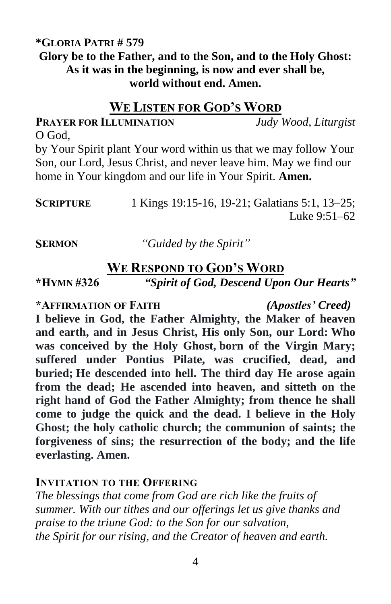#### **\*GLORIA PATRI # 579 Glory be to the Father, and to the Son, and to the Holy Ghost: As it was in the beginning, is now and ever shall be, world without end. Amen.**

#### **WE LISTEN FOR GOD'S WORD**

**PRAYER FOR ILLUMINATION** *Judy Wood, Liturgist* O God,

by Your Spirit plant Your word within us that we may follow Your Son, our Lord, Jesus Christ, and never leave him. May we find our home in Your kingdom and our life in Your Spirit. **Amen.**

**SCRIPTURE** 1 Kings 19:15-16, 19-21; Galatians 5:1, 13–25; Luke 9:51–62

**SERMON** *"Guided by the Spirit"*

### **WE RESPOND TO GOD'S WORD**

**\*HYMN #326** *"Spirit of God, Descend Upon Our Hearts"*

**\*AFFIRMATION OF FAITH** *(Apostles' Creed)*

**I believe in God, the Father Almighty, the Maker of heaven and earth, and in Jesus Christ, His only Son, our Lord: Who was conceived by the Holy Ghost, born of the Virgin Mary; suffered under Pontius Pilate, was crucified, dead, and buried; He descended into hell. The third day He arose again from the dead; He ascended into heaven, and sitteth on the right hand of God the Father Almighty; from thence he shall come to judge the quick and the dead. I believe in the Holy Ghost; the holy catholic church; the communion of saints; the forgiveness of sins; the resurrection of the body; and the life everlasting. Amen.**

#### **INVITATION TO THE OFFERING**

*The blessings that come from God are rich like the fruits of summer. With our tithes and our offerings let us give thanks and praise to the triune God: to the Son for our salvation, the Spirit for our rising, and the Creator of heaven and earth.*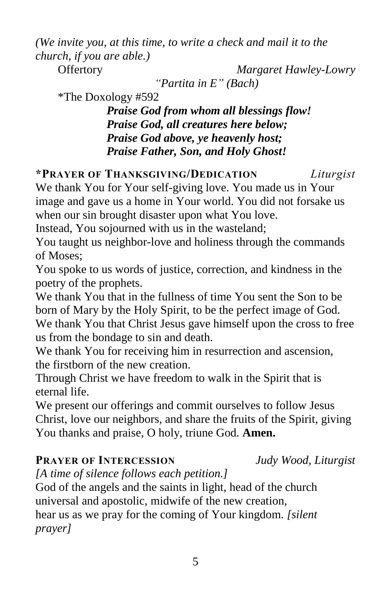*(We invite you, at this time, to write a check and mail it to the church, if you are able.)*

Offertory *Margaret Hawley-Lowry*

*"Partita in E" (Bach)*

\*The Doxology #592

*Praise God from whom all blessings flow! Praise God, all creatures here below; Praise God above, ye heavenly host; Praise Father, Son, and Holy Ghost!*

**\*PRAYER OF THANKSGIVING/DEDICATION** *Liturgist*

We thank You for Your self-giving love. You made us in Your image and gave us a home in Your world. You did not forsake us when our sin brought disaster upon what You love.

Instead, You sojourned with us in the wasteland;

You taught us neighbor-love and holiness through the commands of Moses;

You spoke to us words of justice, correction, and kindness in the poetry of the prophets.

We thank You that in the fullness of time You sent the Son to be born of Mary by the Holy Spirit, to be the perfect image of God. We thank You that Christ Jesus gave himself upon the cross to free us from the bondage to sin and death.

We thank You for receiving him in resurrection and ascension, the firstborn of the new creation.

Through Christ we have freedom to walk in the Spirit that is eternal life.

We present our offerings and commit ourselves to follow Jesus Christ, love our neighbors, and share the fruits of the Spirit, giving You thanks and praise, O holy, triune God. **Amen.**

# **PRAYER OF INTERCESSION** *Judy Wood, Liturgist*

*[A time of silence follows each petition.]*

God of the angels and the saints in light, head of the church universal and apostolic, midwife of the new creation, hear us as we pray for the coming of Your kingdom. *[silent prayer]*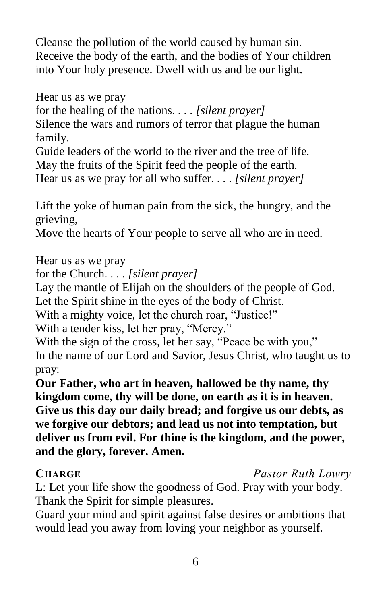Cleanse the pollution of the world caused by human sin. Receive the body of the earth, and the bodies of Your children into Your holy presence. Dwell with us and be our light.

Hear us as we pray

for the healing of the nations. . . . *[silent prayer]*

Silence the wars and rumors of terror that plague the human family.

Guide leaders of the world to the river and the tree of life. May the fruits of the Spirit feed the people of the earth.

Hear us as we pray for all who suffer. . . . *[silent prayer]*

Lift the yoke of human pain from the sick, the hungry, and the grieving,

Move the hearts of Your people to serve all who are in need.

Hear us as we pray

for the Church. . . . *[silent prayer]*

Lay the mantle of Elijah on the shoulders of the people of God. Let the Spirit shine in the eyes of the body of Christ.

With a mighty voice, let the church roar, "Justice!"

With a tender kiss, let her pray, "Mercy."

With the sign of the cross, let her say, "Peace be with you," In the name of our Lord and Savior, Jesus Christ, who taught us to pray:

**Our Father, who art in heaven, hallowed be thy name, thy kingdom come, thy will be done, on earth as it is in heaven. Give us this day our daily bread; and forgive us our debts, as we forgive our debtors; and lead us not into temptation, but deliver us from evil. For thine is the kingdom, and the power, and the glory, forever. Amen.**

**CHARGE** *Pastor Ruth Lowry*

L: Let your life show the goodness of God. Pray with your body. Thank the Spirit for simple pleasures.

Guard your mind and spirit against false desires or ambitions that would lead you away from loving your neighbor as yourself.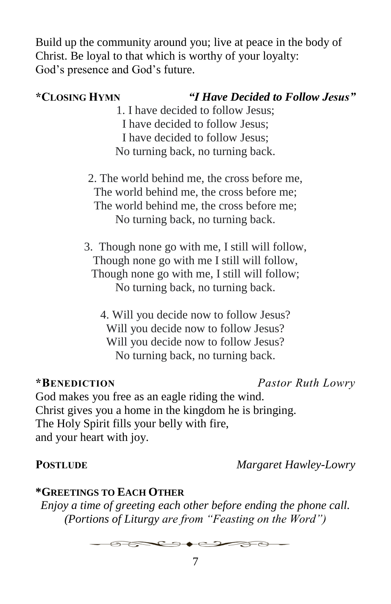Build up the community around you; live at peace in the body of Christ. Be loyal to that which is worthy of your loyalty: God's presence and God's future.

# **\*CLOSING HYMN** *"I Have Decided to Follow Jesus"*

- 1. I have decided to follow Jesus; I have decided to follow Jesus; I have decided to follow Jesus; No turning back, no turning back.
- 2. The world behind me, the cross before me, The world behind me, the cross before me; The world behind me, the cross before me; No turning back, no turning back.
- 3. Though none go with me, I still will follow, Though none go with me I still will follow, Though none go with me, I still will follow; No turning back, no turning back.
	- 4. Will you decide now to follow Jesus? Will you decide now to follow Jesus? Will you decide now to follow Jesus? No turning back, no turning back.

# **\*BENEDICTION** *Pastor Ruth Lowry*

God makes you free as an eagle riding the wind. Christ gives you a home in the kingdom he is bringing. The Holy Spirit fills your belly with fire, and your heart with joy.

**POSTLUDE** *Margaret Hawley-Lowry*

# **\*GREETINGS TO EACH OTHER**

*Enjoy a time of greeting each other before ending the phone call. (Portions of Liturgy are from "Feasting on the Word")*